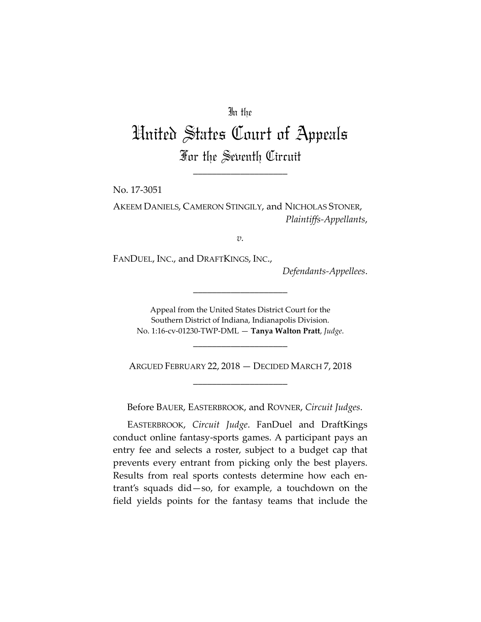## In the

## United States Court of Appeals For the Seventh Circuit

\_\_\_\_\_\_\_\_\_\_\_\_\_\_\_\_\_\_\_\_

No. 17‐3051

AKEEM DANIELS, CAMERON STINGILY, and NICHOLAS STONER, *Plaintiffs‐Appellants*,

*v.*

FANDUEL, INC., and DRAFTKINGS, INC.,

*Defendants‐Appellees*.

Appeal from the United States District Court for the Southern District of Indiana, Indianapolis Division. No. 1:16‐cv‐01230‐TWP‐DML — **Tanya Walton Pratt**, *Judge*.

\_\_\_\_\_\_\_\_\_\_\_\_\_\_\_\_\_\_\_\_

ARGUED FEBRUARY 22, 2018 — DECIDED MARCH 7, 2018 \_\_\_\_\_\_\_\_\_\_\_\_\_\_\_\_\_\_\_\_

\_\_\_\_\_\_\_\_\_\_\_\_\_\_\_\_\_\_\_\_

Before BAUER, EASTERBROOK, and ROVNER, *Circuit Judges*.

EASTERBROOK, *Circuit Judge*. FanDuel and DraftKings conduct online fantasy‐sports games. A participant pays an entry fee and selects a roster, subject to a budget cap that prevents every entrant from picking only the best players. Results from real sports contests determine how each en‐ trant's squads did—so, for example, a touchdown on the field yields points for the fantasy teams that include the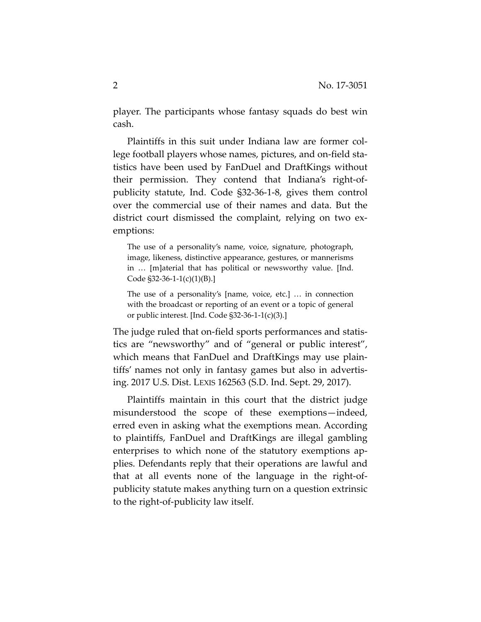player. The participants whose fantasy squads do best win cash.

Plaintiffs in this suit under Indiana law are former col‐ lege football players whose names, pictures, and on‐field sta‐ tistics have been used by FanDuel and DraftKings without their permission. They contend that Indiana's right‐of‐ publicity statute, Ind. Code §32‐36‐1‐8, gives them control over the commercial use of their names and data. But the district court dismissed the complaint, relying on two ex‐ emptions:

The use of a personality's name, voice, signature, photograph, image, likeness, distinctive appearance, gestures, or mannerisms in … [m]aterial that has political or newsworthy value. [Ind. Code §32‐36‐1‐1(c)(1)(B).]

The use of a personality's [name, voice, etc.] … in connection with the broadcast or reporting of an event or a topic of general or public interest. [Ind. Code §32‐36‐1‐1(c)(3).]

The judge ruled that on-field sports performances and statistics are "newsworthy" and of "general or public interest", which means that FanDuel and DraftKings may use plain‐ tiffs' names not only in fantasy games but also in advertis‐ ing. 2017 U.S. Dist. LEXIS 162563 (S.D. Ind. Sept. 29, 2017).

Plaintiffs maintain in this court that the district judge misunderstood the scope of these exemptions—indeed, erred even in asking what the exemptions mean. According to plaintiffs, FanDuel and DraftKings are illegal gambling enterprises to which none of the statutory exemptions applies. Defendants reply that their operations are lawful and that at all events none of the language in the right‐of‐ publicity statute makes anything turn on a question extrinsic to the right‐of‐publicity law itself.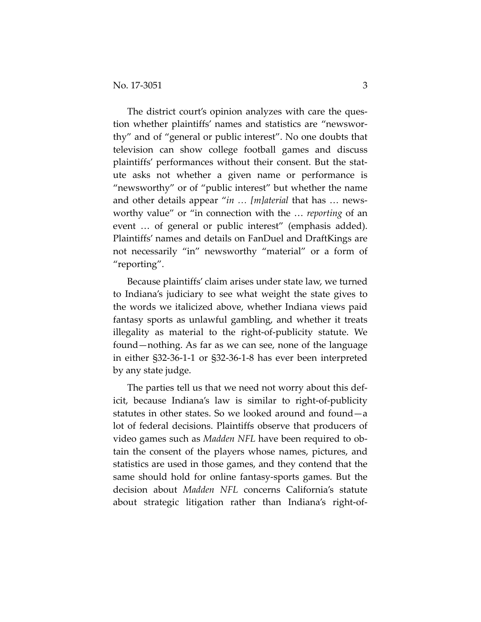The district court's opinion analyzes with care the question whether plaintiffs' names and statistics are "newswor‐ thy" and of "general or public interest". No one doubts that television can show college football games and discuss plaintiffs' performances without their consent. But the stat‐ ute asks not whether a given name or performance is "newsworthy" or of "public interest" but whether the name and other details appear "*in … [m]aterial* that has … news‐ worthy value" or "in connection with the … *reporting* of an event … of general or public interest" (emphasis added). Plaintiffs' names and details on FanDuel and DraftKings are not necessarily "in" newsworthy "material" or a form of "reporting".

Because plaintiffs' claim arises under state law, we turned to Indiana's judiciary to see what weight the state gives to the words we italicized above, whether Indiana views paid fantasy sports as unlawful gambling, and whether it treats illegality as material to the right‐of‐publicity statute. We found—nothing. As far as we can see, none of the language in either §32‐36‐1‐1 or §32‐36‐1‐8 has ever been interpreted by any state judge.

The parties tell us that we need not worry about this def‐ icit, because Indiana's law is similar to right‐of‐publicity statutes in other states. So we looked around and found—a lot of federal decisions. Plaintiffs observe that producers of video games such as *Madden NFL* have been required to ob‐ tain the consent of the players whose names, pictures, and statistics are used in those games, and they contend that the same should hold for online fantasy‐sports games. But the decision about *Madden NFL* concerns California's statute about strategic litigation rather than Indiana's right‐of‐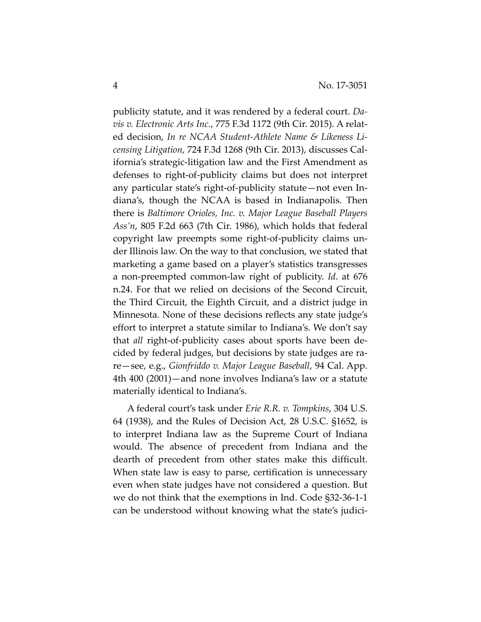publicity statute, and it was rendered by a federal court. *Da‐ vis v. Electronic Arts Inc.*, 775 F.3d 1172 (9th Cir. 2015). A relat‐ ed decision, *In re NCAA Student‐Athlete Name & Likeness Li‐ censing Litigation*, 724 F.3d 1268 (9th Cir. 2013), discusses Cal‐ ifornia's strategic‐litigation law and the First Amendment as defenses to right‐of‐publicity claims but does not interpret any particular state's right‐of‐publicity statute—not even In‐ diana's, though the NCAA is based in Indianapolis. Then there is *Baltimore Orioles, Inc. v. Major League Baseball Players Ass'n*, 805 F.2d 663 (7th Cir. 1986), which holds that federal copyright law preempts some right‐of‐publicity claims un‐ der Illinois law. On the way to that conclusion, we stated that marketing a game based on a player's statistics transgresses a non‐preempted common‐law right of publicity. *Id*. at 676 n.24. For that we relied on decisions of the Second Circuit, the Third Circuit, the Eighth Circuit, and a district judge in Minnesota. None of these decisions reflects any state judge's effort to interpret a statute similar to Indiana's. We don't say that *all* right‐of‐publicity cases about sports have been de‐ cided by federal judges, but decisions by state judges are ra‐ re—see, e.g., *Gionfriddo v. Major League Baseball*, 94 Cal. App. 4th 400 (2001)—and none involves Indiana's law or a statute materially identical to Indiana's.

A federal court's task under *Erie R.R. v. Tompkins*, 304 U.S. 64 (1938), and the Rules of Decision Act, 28 U.S.C. §1652, is to interpret Indiana law as the Supreme Court of Indiana would. The absence of precedent from Indiana and the dearth of precedent from other states make this difficult. When state law is easy to parse, certification is unnecessary even when state judges have not considered a question. But we do not think that the exemptions in Ind. Code §32‐36‐1‐1 can be understood without knowing what the state's judici‐